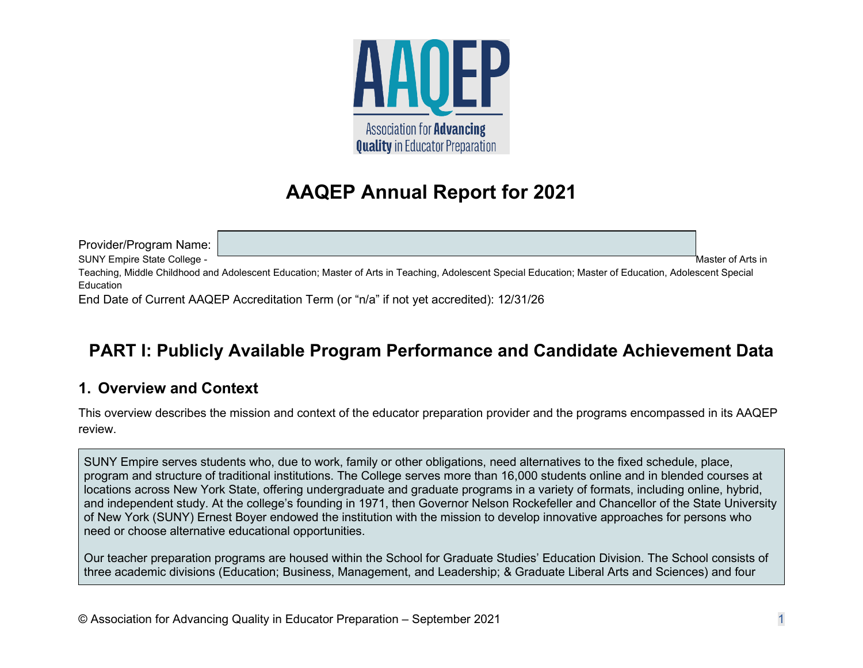

# **AAQEP Annual Report for 2021**

Provider/Program Name: SUNY Empire State College -  $\overline{\phantom{a}}$  Master of Arts in Teaching, Middle Childhood and Adolescent Education; Master of Arts in Teaching, Adolescent Special Education; Master of Education, Adolescent Special **F**ducation End Date of Current AAQEP Accreditation Term (or "n/a" if not yet accredited): 12/31/26

# **PART I: Publicly Available Program Performance and Candidate Achievement Data**

# **1. Overview and Context**

This overview describes the mission and context of the educator preparation provider and the programs encompassed in its AAQEP review.

SUNY Empire serves students who, due to work, family or other obligations, need alternatives to the fixed schedule, place, program and structure of traditional institutions. The College serves more than 16,000 students online and in blended courses at locations across New York State, offering undergraduate and graduate programs in a variety of formats, including online, hybrid, and independent study. At the college's founding in 1971, then Governor Nelson Rockefeller and Chancellor of the State University of New York (SUNY) Ernest Boyer endowed the institution with the mission to develop innovative approaches for persons who need or choose alternative educational opportunities.

Our teacher preparation programs are housed within the School for Graduate Studies' Education Division. The School consists of three academic divisions (Education; Business, Management, and Leadership; & Graduate Liberal Arts and Sciences) and four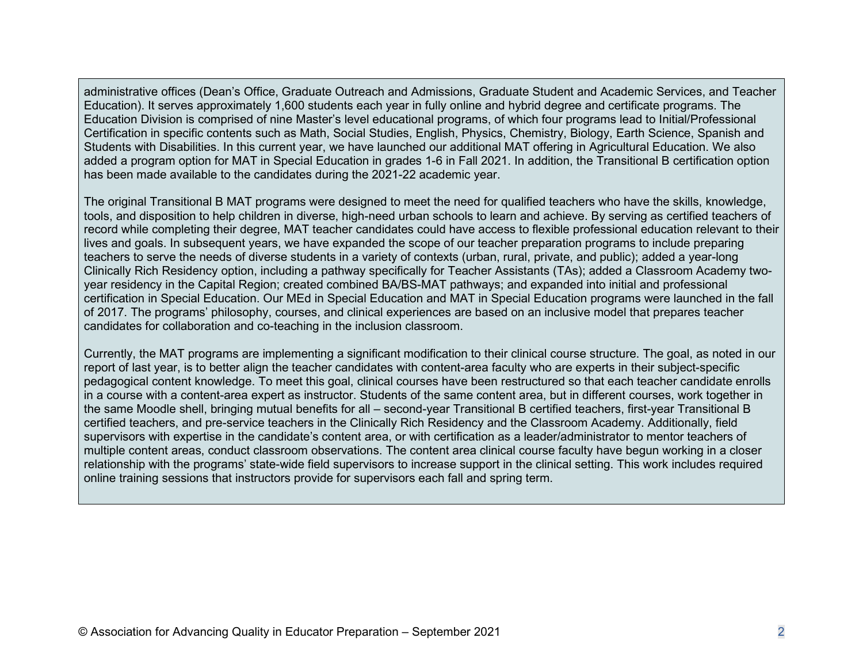administrative offices (Dean's Office, Graduate Outreach and Admissions, Graduate Student and Academic Services, and Teacher Education). It serves approximately 1,600 students each year in fully online and hybrid degree and certificate programs. The Education Division is comprised of nine Master's level educational programs, of which four programs lead to Initial/Professional Certification in specific contents such as Math, Social Studies, English, Physics, Chemistry, Biology, Earth Science, Spanish and Students with Disabilities. In this current year, we have launched our additional MAT offering in Agricultural Education. We also added a program option for MAT in Special Education in grades 1-6 in Fall 2021. In addition, the Transitional B certification option has been made available to the candidates during the 2021-22 academic year.

The original Transitional B MAT programs were designed to meet the need for qualified teachers who have the skills, knowledge, tools, and disposition to help children in diverse, high-need urban schools to learn and achieve. By serving as certified teachers of record while completing their degree, MAT teacher candidates could have access to flexible professional education relevant to their lives and goals. In subsequent years, we have expanded the scope of our teacher preparation programs to include preparing teachers to serve the needs of diverse students in a variety of contexts (urban, rural, private, and public); added a year-long Clinically Rich Residency option, including a pathway specifically for Teacher Assistants (TAs); added a Classroom Academy twoyear residency in the Capital Region; created combined BA/BS-MAT pathways; and expanded into initial and professional certification in Special Education. Our MEd in Special Education and MAT in Special Education programs were launched in the fall of 2017. The programs' philosophy, courses, and clinical experiences are based on an inclusive model that prepares teacher candidates for collaboration and co-teaching in the inclusion classroom.

Currently, the MAT programs are implementing a significant modification to their clinical course structure. The goal, as noted in our report of last year, is to better align the teacher candidates with content-area faculty who are experts in their subject-specific pedagogical content knowledge. To meet this goal, clinical courses have been restructured so that each teacher candidate enrolls in a course with a content-area expert as instructor. Students of the same content area, but in different courses, work together in the same Moodle shell, bringing mutual benefits for all – second-year Transitional B certified teachers, first-year Transitional B certified teachers, and pre-service teachers in the Clinically Rich Residency and the Classroom Academy. Additionally, field supervisors with expertise in the candidate's content area, or with certification as a leader/administrator to mentor teachers of multiple content areas, conduct classroom observations. The content area clinical course faculty have begun working in a closer relationship with the programs' state-wide field supervisors to increase support in the clinical setting. This work includes required online training sessions that instructors provide for supervisors each fall and spring term.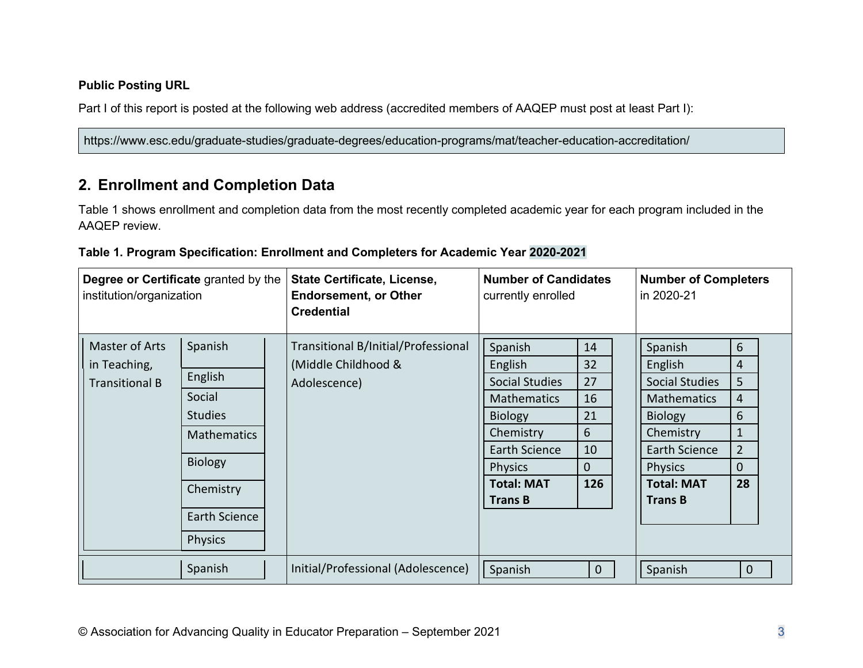## **Public Posting URL**

Part I of this report is posted at the following web address (accredited members of AAQEP must post at least Part I):

https://www.esc.edu/graduate-studies/graduate-degrees/education-programs/mat/teacher-education-accreditation/

# **2. Enrollment and Completion Data**

Table 1 shows enrollment and completion data from the most recently completed academic year for each program included in the AAQEP review.

| Degree or Certificate granted by the<br>institution/organization |                    | State Certificate, License,<br><b>Endorsement, or Other</b><br><b>Credential</b> | <b>Number of Candidates</b><br>currently enrolled |              | <b>Number of Completers</b><br>in 2020-21 |                |
|------------------------------------------------------------------|--------------------|----------------------------------------------------------------------------------|---------------------------------------------------|--------------|-------------------------------------------|----------------|
| Master of Arts                                                   | Spanish            | Transitional B/Initial/Professional                                              | Spanish                                           | 14           | Spanish                                   | 6              |
| in Teaching,                                                     |                    | (Middle Childhood &                                                              | English                                           | 32           | English                                   | 4              |
| <b>Transitional B</b>                                            | English            | Adolescence)                                                                     | <b>Social Studies</b>                             | 27           | Social Studies                            | 5              |
|                                                                  | Social             |                                                                                  | <b>Mathematics</b>                                | 16           | <b>Mathematics</b>                        | 4              |
|                                                                  | <b>Studies</b>     |                                                                                  | <b>Biology</b>                                    | 21           | <b>Biology</b>                            | 6              |
|                                                                  | <b>Mathematics</b> |                                                                                  | Chemistry                                         | 6            | Chemistry                                 | 1              |
|                                                                  |                    |                                                                                  | Earth Science                                     | 10           | <b>Earth Science</b>                      | $\overline{2}$ |
|                                                                  | <b>Biology</b>     |                                                                                  | <b>Physics</b>                                    | 0            | <b>Physics</b>                            | $\mathbf{0}$   |
|                                                                  | Chemistry          |                                                                                  | <b>Total: MAT</b>                                 | 126          | <b>Total: MAT</b>                         | 28             |
|                                                                  |                    |                                                                                  | <b>Trans B</b>                                    |              | <b>Trans B</b>                            |                |
|                                                                  | Earth Science      |                                                                                  |                                                   |              |                                           |                |
|                                                                  | <b>Physics</b>     |                                                                                  |                                                   |              |                                           |                |
|                                                                  | Spanish            | Initial/Professional (Adolescence)                                               | Spanish                                           | $\mathbf{0}$ | Spanish                                   | $\mathbf{0}$   |

### **Table 1. Program Specification: Enrollment and Completers for Academic Year 2020-2021**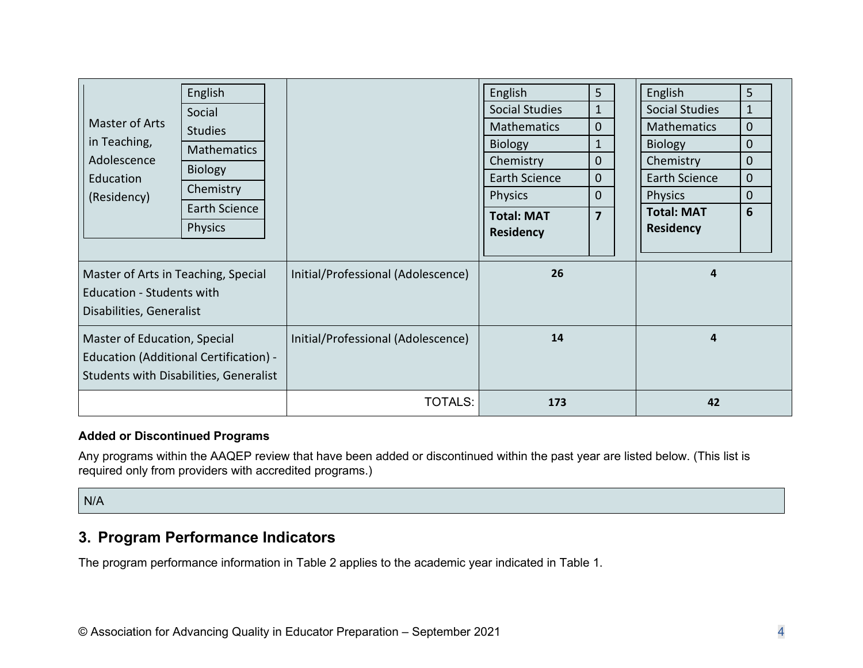|                                                                                                                  | English            |                                    | English               | 5              | English               | 5            |
|------------------------------------------------------------------------------------------------------------------|--------------------|------------------------------------|-----------------------|----------------|-----------------------|--------------|
|                                                                                                                  | Social             |                                    | <b>Social Studies</b> | $\mathbf{1}$   | <b>Social Studies</b> | $\mathbf{1}$ |
| Master of Arts                                                                                                   | <b>Studies</b>     |                                    | <b>Mathematics</b>    | $\overline{0}$ | <b>Mathematics</b>    | $\mathbf 0$  |
| in Teaching,                                                                                                     | <b>Mathematics</b> |                                    | <b>Biology</b>        | 1              | <b>Biology</b>        | $\mathbf 0$  |
| Adolescence                                                                                                      | <b>Biology</b>     |                                    | Chemistry             | 0              | Chemistry             | $\mathbf{0}$ |
| Education                                                                                                        |                    |                                    | Earth Science         | $\overline{0}$ | <b>Earth Science</b>  | $\mathbf 0$  |
| (Residency)                                                                                                      | Chemistry          |                                    | <b>Physics</b>        | $\Omega$       | <b>Physics</b>        | $\mathbf{0}$ |
|                                                                                                                  | Earth Science      |                                    | <b>Total: MAT</b>     | $\overline{7}$ | <b>Total: MAT</b>     | 6            |
|                                                                                                                  | <b>Physics</b>     |                                    | <b>Residency</b>      |                | <b>Residency</b>      |              |
|                                                                                                                  |                    |                                    |                       |                |                       |              |
| Master of Arts in Teaching, Special<br><b>Education - Students with</b><br>Disabilities, Generalist              |                    | Initial/Professional (Adolescence) | 26                    |                | $\boldsymbol{4}$      |              |
| Master of Education, Special<br>Education (Additional Certification) -<br>Students with Disabilities, Generalist |                    | Initial/Professional (Adolescence) | 14                    |                | $\overline{a}$        |              |
|                                                                                                                  |                    | TOTALS:                            | 173                   |                | 42                    |              |

## **Added or Discontinued Programs**

Any programs within the AAQEP review that have been added or discontinued within the past year are listed below. (This list is required only from providers with accredited programs.)

N/A

# **3. Program Performance Indicators**

The program performance information in Table 2 applies to the academic year indicated in Table 1.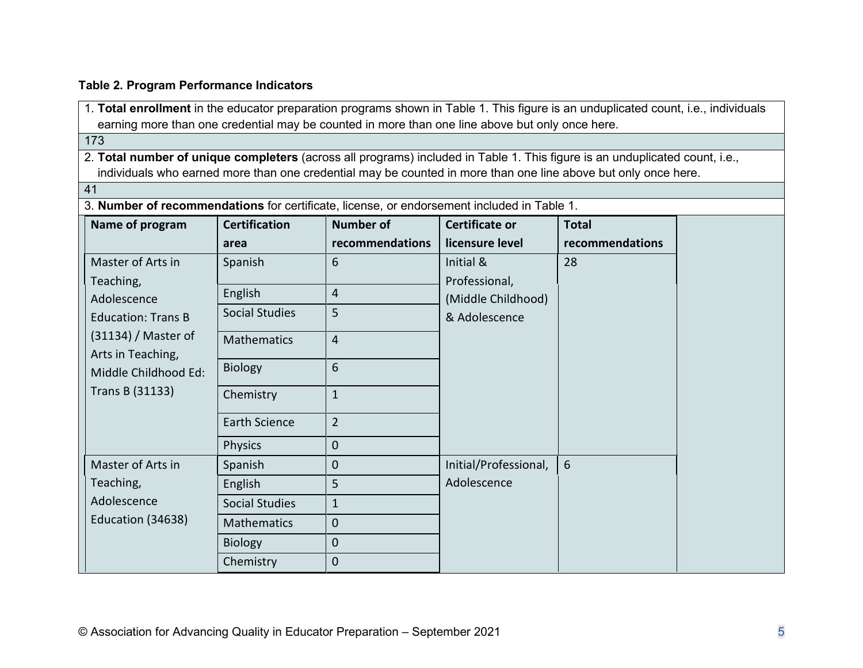### **Table 2. Program Performance Indicators**

1. **Total enrollment** in the educator preparation programs shown in Table 1. This figure is an unduplicated count, i.e., individuals earning more than one credential may be counted in more than one line above but only once here.

173

2. **Total number of unique completers** (across all programs) included in Table 1. This figure is an unduplicated count, i.e., individuals who earned more than one credential may be counted in more than one line above but only once here.

41

| Name of program                                                    | <b>Certification</b>  | <b>Number of</b> | <b>Certificate or</b> | <b>Total</b>    |
|--------------------------------------------------------------------|-----------------------|------------------|-----------------------|-----------------|
|                                                                    | area                  | recommendations  | licensure level       | recommendations |
| Master of Arts in                                                  | Spanish               | 6                | Initial &             | 28              |
| Teaching,                                                          | English               | $\overline{4}$   | Professional,         |                 |
| Adolescence                                                        |                       |                  | (Middle Childhood)    |                 |
| <b>Education: Trans B</b>                                          | <b>Social Studies</b> | 5                | & Adolescence         |                 |
| $(31134)$ / Master of<br>Arts in Teaching,<br>Middle Childhood Ed: | Mathematics           | $\overline{4}$   |                       |                 |
|                                                                    | <b>Biology</b>        | 6                |                       |                 |
| Trans B (31133)                                                    | Chemistry             | $\mathbf{1}$     |                       |                 |
|                                                                    | <b>Earth Science</b>  | $2^{\circ}$      |                       |                 |
|                                                                    | <b>Physics</b>        | $\overline{0}$   |                       |                 |
| Master of Arts in                                                  | Spanish               | $\overline{0}$   | Initial/Professional, | 6               |
| Teaching,                                                          | English               | 5 <sup>1</sup>   | Adolescence           |                 |
| Adolescence                                                        | <b>Social Studies</b> | $\mathbf{1}$     |                       |                 |
| Education (34638)                                                  | <b>Mathematics</b>    | $\mathbf{0}$     |                       |                 |
|                                                                    | <b>Biology</b>        | $\mathbf{0}$     |                       |                 |
|                                                                    | Chemistry             | $\mathbf{0}$     |                       |                 |

3. **Number of recommendations** for certificate, license, or endorsement included in Table 1.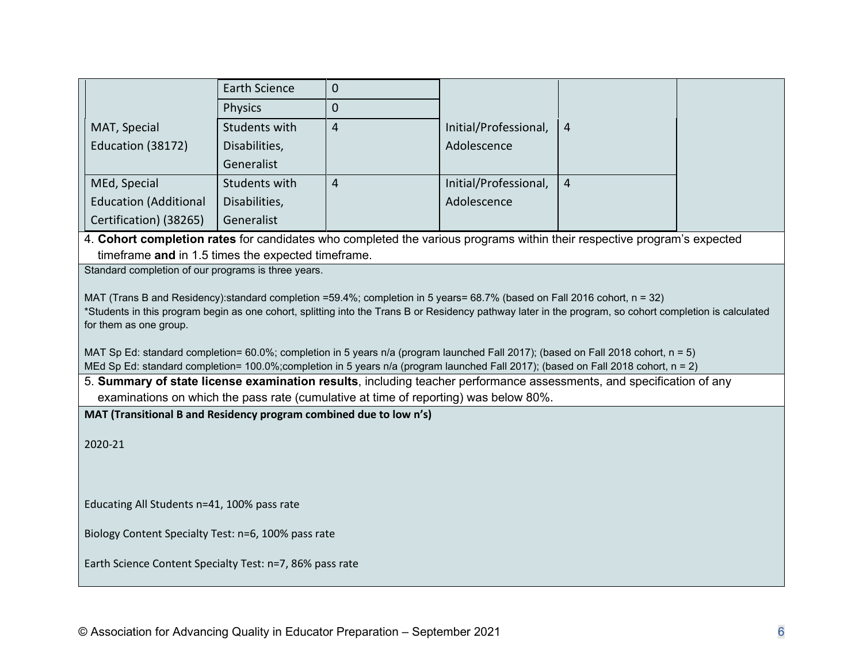|                                                                                                                                                            | <b>Earth Science</b> | $\mathbf 0$    |                       |                |  |  |  |
|------------------------------------------------------------------------------------------------------------------------------------------------------------|----------------------|----------------|-----------------------|----------------|--|--|--|
|                                                                                                                                                            | <b>Physics</b>       | $\mathbf 0$    |                       |                |  |  |  |
| MAT, Special                                                                                                                                               | Students with        | $\overline{4}$ | Initial/Professional, | $\overline{4}$ |  |  |  |
| Education (38172)                                                                                                                                          | Disabilities,        |                | Adolescence           |                |  |  |  |
|                                                                                                                                                            | Generalist           |                |                       |                |  |  |  |
| MEd, Special                                                                                                                                               | Students with        | $\overline{4}$ | Initial/Professional, | $\overline{4}$ |  |  |  |
| <b>Education (Additional</b>                                                                                                                               | Disabilities,        |                | Adolescence           |                |  |  |  |
| Certification) (38265)                                                                                                                                     | Generalist           |                |                       |                |  |  |  |
| 4. Cohort completion rates for candidates who completed the various programs within their respective program's expected                                    |                      |                |                       |                |  |  |  |
| timeframe and in 1.5 times the expected timeframe.                                                                                                         |                      |                |                       |                |  |  |  |
| Standard completion of our programs is three years.                                                                                                        |                      |                |                       |                |  |  |  |
| MAT (Trans B and Residency):standard completion =59.4%; completion in 5 years= 68.7% (based on Fall 2016 cohort, n = 32)                                   |                      |                |                       |                |  |  |  |
| *Students in this program begin as one cohort, splitting into the Trans B or Residency pathway later in the program, so cohort completion is calculated    |                      |                |                       |                |  |  |  |
| for them as one group.                                                                                                                                     |                      |                |                       |                |  |  |  |
| MAT Sp Ed: standard completion= 60.0%; completion in 5 years n/a (program launched Fall 2017); (based on Fall 2018 cohort, n = 5)                          |                      |                |                       |                |  |  |  |
| MEd Sp Ed: standard completion= 100.0%;completion in 5 years n/a (program launched Fall 2017); (based on Fall 2018 cohort, n = 2)                          |                      |                |                       |                |  |  |  |
| 5. Summary of state license examination results, including teacher performance assessments, and specification of any                                       |                      |                |                       |                |  |  |  |
| examinations on which the pass rate (cumulative at time of reporting) was below 80%.<br>MAT (Transitional B and Residency program combined due to low n's) |                      |                |                       |                |  |  |  |
|                                                                                                                                                            |                      |                |                       |                |  |  |  |
| 2020-21                                                                                                                                                    |                      |                |                       |                |  |  |  |
|                                                                                                                                                            |                      |                |                       |                |  |  |  |
|                                                                                                                                                            |                      |                |                       |                |  |  |  |
| Educating All Students n=41, 100% pass rate                                                                                                                |                      |                |                       |                |  |  |  |
| Biology Content Specialty Test: n=6, 100% pass rate                                                                                                        |                      |                |                       |                |  |  |  |
| Earth Science Content Specialty Test: n=7, 86% pass rate                                                                                                   |                      |                |                       |                |  |  |  |
|                                                                                                                                                            |                      |                |                       |                |  |  |  |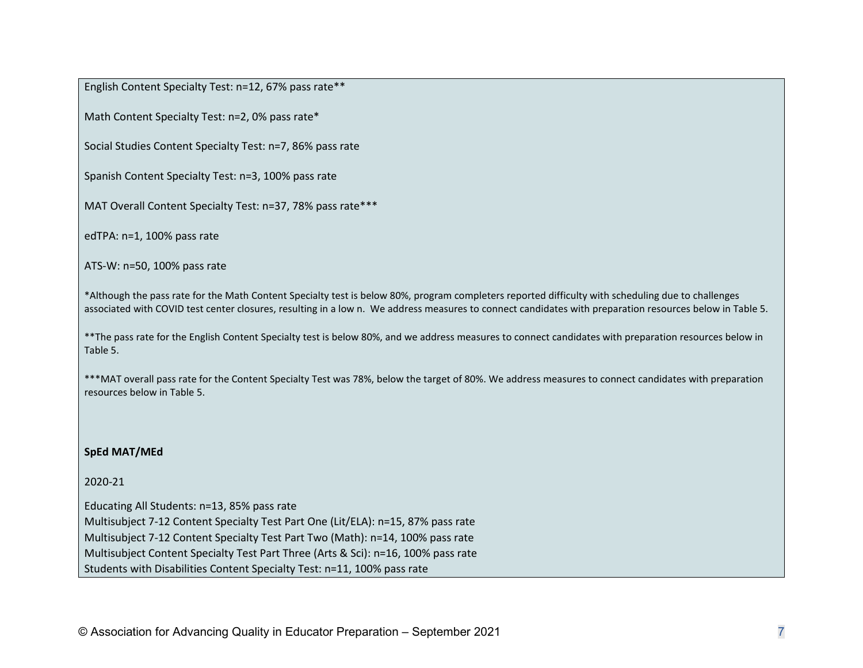English Content Specialty Test: n=12, 67% pass rate\*\*

Math Content Specialty Test: n=2, 0% pass rate\*

Social Studies Content Specialty Test: n=7, 86% pass rate

Spanish Content Specialty Test: n=3, 100% pass rate

MAT Overall Content Specialty Test: n=37, 78% pass rate\*\*\*

edTPA: n=1, 100% pass rate

ATS-W: n=50, 100% pass rate

\*Although the pass rate for the Math Content Specialty test is below 80%, program completers reported difficulty with scheduling due to challenges associated with COVID test center closures, resulting in a low n. We address measures to connect candidates with preparation resources below in Table 5.

\*\*The pass rate for the English Content Specialty test is below 80%, and we address measures to connect candidates with preparation resources below in Table 5.

\*\*\*MAT overall pass rate for the Content Specialty Test was 78%, below the target of 80%. We address measures to connect candidates with preparation resources below in Table 5.

#### **SpEd MAT/MEd**

#### 2020-21

Educating All Students: n=13, 85% pass rate Multisubject 7-12 Content Specialty Test Part One (Lit/ELA): n=15, 87% pass rate Multisubject 7-12 Content Specialty Test Part Two (Math): n=14, 100% pass rate Multisubject Content Specialty Test Part Three (Arts & Sci): n=16, 100% pass rate Students with Disabilities Content Specialty Test: n=11, 100% pass rate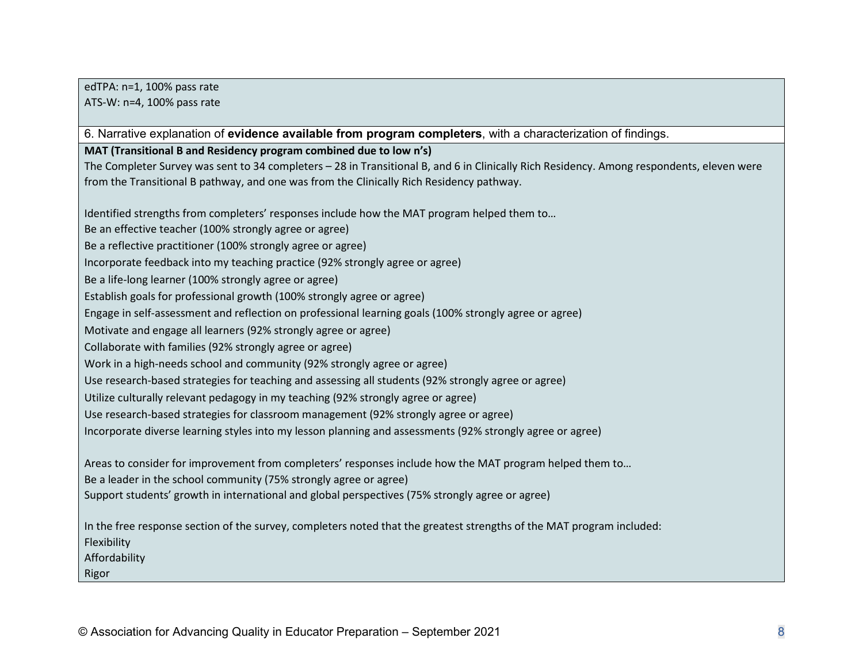edTPA: n=1, 100% pass rate ATS-W: n=4, 100% pass rate

6. Narrative explanation of **evidence available from program completers**, with a characterization of findings.

**MAT (Transitional B and Residency program combined due to low n's)**

The Completer Survey was sent to 34 completers – 28 in Transitional B, and 6 in Clinically Rich Residency. Among respondents, eleven were from the Transitional B pathway, and one was from the Clinically Rich Residency pathway.

Identified strengths from completers' responses include how the MAT program helped them to…

Be an effective teacher (100% strongly agree or agree)

Be a reflective practitioner (100% strongly agree or agree)

Incorporate feedback into my teaching practice (92% strongly agree or agree)

Be a life-long learner (100% strongly agree or agree)

Establish goals for professional growth (100% strongly agree or agree)

Engage in self-assessment and reflection on professional learning goals (100% strongly agree or agree)

Motivate and engage all learners (92% strongly agree or agree)

Collaborate with families (92% strongly agree or agree)

Work in a high-needs school and community (92% strongly agree or agree)

Use research-based strategies for teaching and assessing all students (92% strongly agree or agree)

Utilize culturally relevant pedagogy in my teaching (92% strongly agree or agree)

Use research-based strategies for classroom management (92% strongly agree or agree)

Incorporate diverse learning styles into my lesson planning and assessments (92% strongly agree or agree)

Areas to consider for improvement from completers' responses include how the MAT program helped them to…

Be a leader in the school community (75% strongly agree or agree)

Support students' growth in international and global perspectives (75% strongly agree or agree)

In the free response section of the survey, completers noted that the greatest strengths of the MAT program included: Flexibility

Affordability

Rigor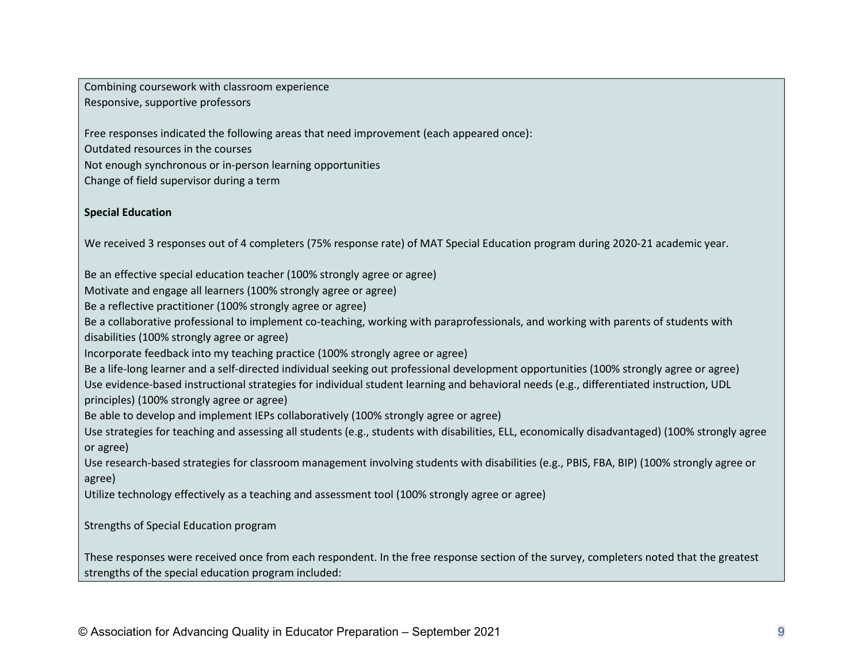Combining coursework with classroom experience Responsive, supportive professors

Free responses indicated the following areas that need improvement (each appeared once):

Outdated resources in the courses

Not enough synchronous or in-person learning opportunities

Change of field supervisor during a term

### **Special Education**

We received 3 responses out of 4 completers (75% response rate) of MAT Special Education program during 2020-21 academic year.

Be an effective special education teacher (100% strongly agree or agree)

Motivate and engage all learners (100% strongly agree or agree)

Be a reflective practitioner (100% strongly agree or agree)

Be a collaborative professional to implement co-teaching, working with paraprofessionals, and working with parents of students with disabilities (100% strongly agree or agree)

Incorporate feedback into my teaching practice (100% strongly agree or agree)

Be a life-long learner and a self-directed individual seeking out professional development opportunities (100% strongly agree or agree) Use evidence-based instructional strategies for individual student learning and behavioral needs (e.g., differentiated instruction, UDL principles) (100% strongly agree or agree)

Be able to develop and implement IEPs collaboratively (100% strongly agree or agree)

Use strategies for teaching and assessing all students (e.g., students with disabilities, ELL, economically disadvantaged) (100% strongly agree or agree)

Use research-based strategies for classroom management involving students with disabilities (e.g., PBIS, FBA, BIP) (100% strongly agree or agree)

Utilize technology effectively as a teaching and assessment tool (100% strongly agree or agree)

Strengths of Special Education program

These responses were received once from each respondent. In the free response section of the survey, completers noted that the greatest strengths of the special education program included: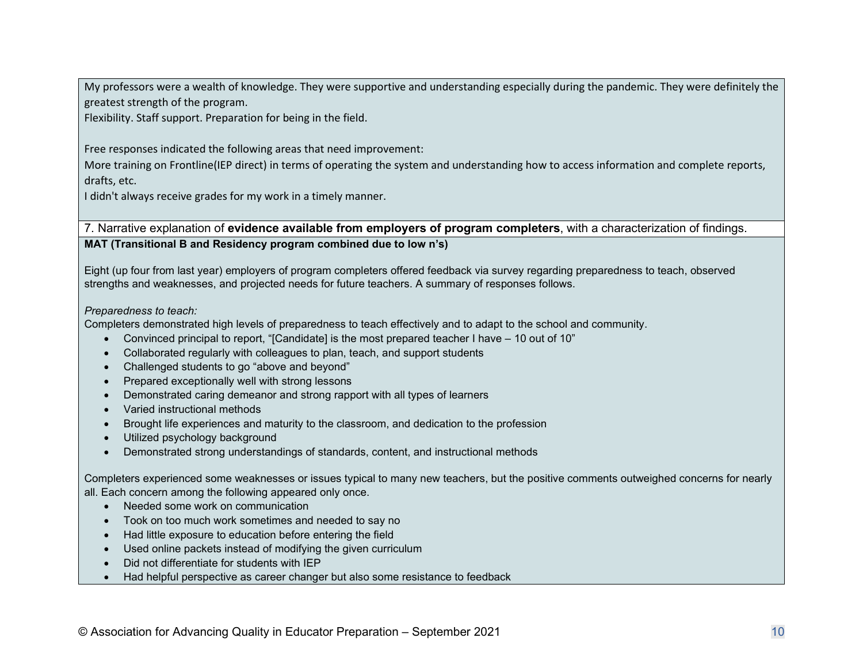My professors were a wealth of knowledge. They were supportive and understanding especially during the pandemic. They were definitely the greatest strength of the program.

Flexibility. Staff support. Preparation for being in the field.

Free responses indicated the following areas that need improvement:

More training on Frontline(IEP direct) in terms of operating the system and understanding how to access information and complete reports, drafts, etc.

I didn't always receive grades for my work in a timely manner.

7. Narrative explanation of **evidence available from employers of program completers**, with a characterization of findings. **MAT (Transitional B and Residency program combined due to low n's)**

Eight (up four from last year) employers of program completers offered feedback via survey regarding preparedness to teach, observed strengths and weaknesses, and projected needs for future teachers. A summary of responses follows.

#### *Preparedness to teach:*

Completers demonstrated high levels of preparedness to teach effectively and to adapt to the school and community.

- Convinced principal to report, "[Candidate] is the most prepared teacher I have 10 out of 10"
- Collaborated regularly with colleagues to plan, teach, and support students
- Challenged students to go "above and beyond"
- Prepared exceptionally well with strong lessons
- Demonstrated caring demeanor and strong rapport with all types of learners
- Varied instructional methods
- Brought life experiences and maturity to the classroom, and dedication to the profession
- Utilized psychology background
- Demonstrated strong understandings of standards, content, and instructional methods

Completers experienced some weaknesses or issues typical to many new teachers, but the positive comments outweighed concerns for nearly all. Each concern among the following appeared only once.

- Needed some work on communication
- Took on too much work sometimes and needed to say no
- Had little exposure to education before entering the field
- Used online packets instead of modifying the given curriculum
- Did not differentiate for students with IEP
- Had helpful perspective as career changer but also some resistance to feedback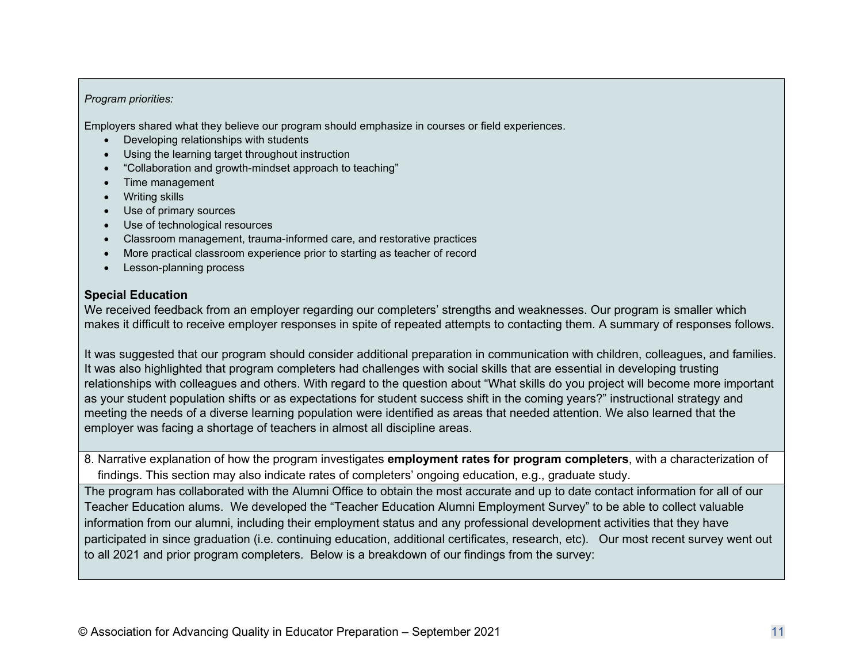### *Program priorities:*

Employers shared what they believe our program should emphasize in courses or field experiences.

- Developing relationships with students
- Using the learning target throughout instruction
- "Collaboration and growth-mindset approach to teaching"
- Time management
- Writing skills
- Use of primary sources
- Use of technological resources
- Classroom management, trauma-informed care, and restorative practices
- More practical classroom experience prior to starting as teacher of record
- Lesson-planning process

### **Special Education**

We received feedback from an employer regarding our completers' strengths and weaknesses. Our program is smaller which makes it difficult to receive employer responses in spite of repeated attempts to contacting them. A summary of responses follows.

It was suggested that our program should consider additional preparation in communication with children, colleagues, and families. It was also highlighted that program completers had challenges with social skills that are essential in developing trusting relationships with colleagues and others. With regard to the question about "What skills do you project will become more important as your student population shifts or as expectations for student success shift in the coming years?" instructional strategy and meeting the needs of a diverse learning population were identified as areas that needed attention. We also learned that the employer was facing a shortage of teachers in almost all discipline areas.

8. Narrative explanation of how the program investigates **employment rates for program completers**, with a characterization of findings. This section may also indicate rates of completers' ongoing education, e.g., graduate study.

The program has collaborated with the Alumni Office to obtain the most accurate and up to date contact information for all of our Teacher Education alums. We developed the "Teacher Education Alumni Employment Survey" to be able to collect valuable information from our alumni, including their employment status and any professional development activities that they have participated in since graduation (i.e. continuing education, additional certificates, research, etc). Our most recent survey went out to all 2021 and prior program completers. Below is a breakdown of our findings from the survey: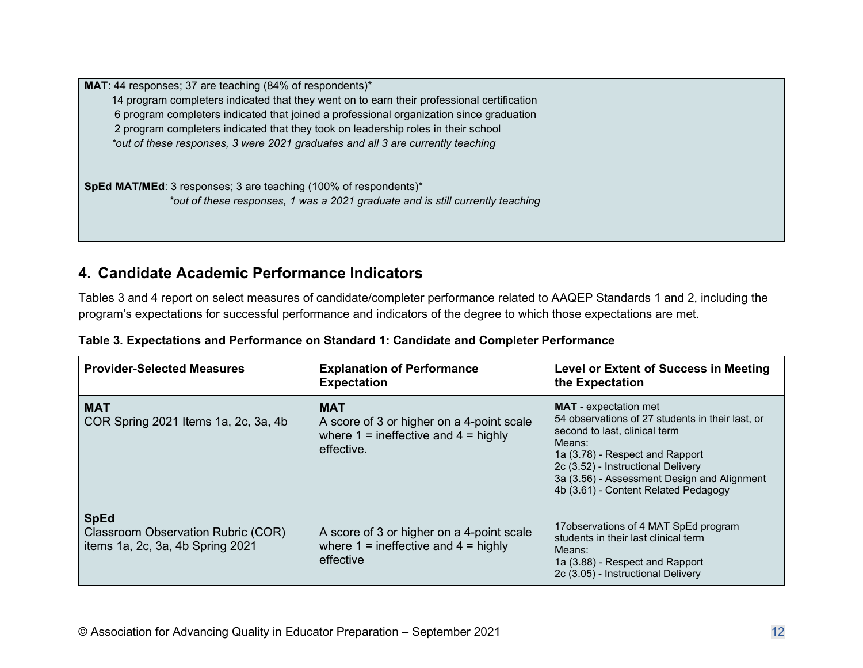**MAT**: 44 responses; 37 are teaching (84% of respondents)\* 14 program completers indicated that they went on to earn their professional certification 6 program completers indicated that joined a professional organization since graduation 2 program completers indicated that they took on leadership roles in their school *\*out of these responses, 3 were 2021 graduates and all 3 are currently teaching*

**SpEd MAT/MEd**: 3 responses; 3 are teaching (100% of respondents)\* *\*out of these responses, 1 was a 2021 graduate and is still currently teaching*

# **4. Candidate Academic Performance Indicators**

Tables 3 and 4 report on select measures of candidate/completer performance related to AAQEP Standards 1 and 2, including the program's expectations for successful performance and indicators of the degree to which those expectations are met.

| <b>Provider-Selected Measures</b>                                                     | <b>Explanation of Performance</b><br><b>Expectation</b>                                                           | Level or Extent of Success in Meeting<br>the Expectation                                                                                                                                                                                                                                    |
|---------------------------------------------------------------------------------------|-------------------------------------------------------------------------------------------------------------------|---------------------------------------------------------------------------------------------------------------------------------------------------------------------------------------------------------------------------------------------------------------------------------------------|
| <b>MAT</b><br>COR Spring 2021 Items 1a, 2c, 3a, 4b                                    | <b>MAT</b><br>A score of 3 or higher on a 4-point scale<br>where $1 =$ ineffective and $4 =$ highly<br>effective. | <b>MAT</b> - expectation met<br>54 observations of 27 students in their last, or<br>second to last, clinical term<br>Means:<br>1a (3.78) - Respect and Rapport<br>2c (3.52) - Instructional Delivery<br>3a (3.56) - Assessment Design and Alignment<br>4b (3.61) - Content Related Pedagogy |
| <b>SpEd</b><br>Classroom Observation Rubric (COR)<br>items 1a, 2c, 3a, 4b Spring 2021 | A score of 3 or higher on a 4-point scale<br>where $1 =$ ineffective and $4 =$ highly<br>effective                | 17 observations of 4 MAT SpEd program<br>students in their last clinical term<br>Means:<br>1a (3.88) - Respect and Rapport<br>2c (3.05) - Instructional Delivery                                                                                                                            |

|  |  | Table 3. Expectations and Performance on Standard 1: Candidate and Completer Performance |
|--|--|------------------------------------------------------------------------------------------|
|  |  |                                                                                          |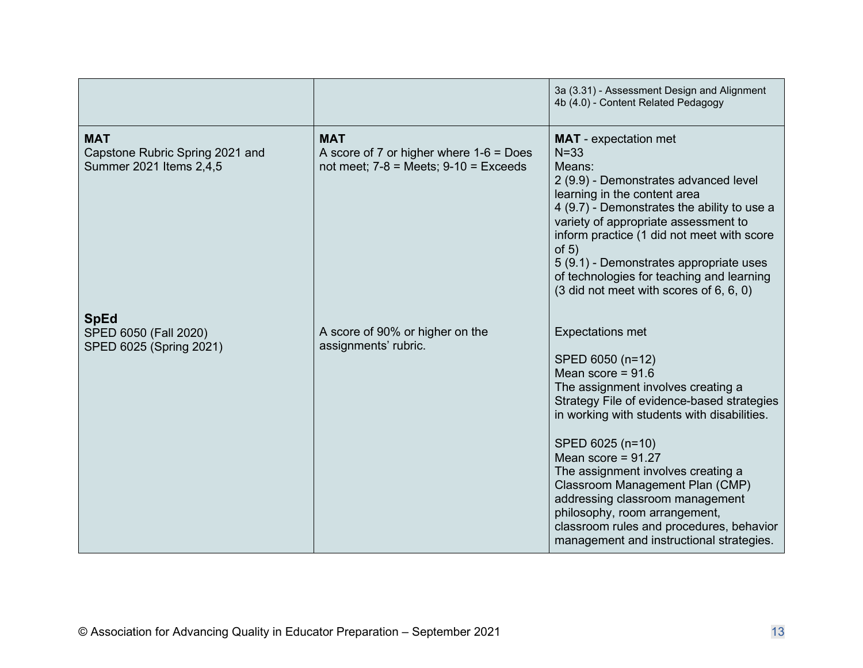|                                                                          |                                                                                                      | 3a (3.31) - Assessment Design and Alignment<br>4b (4.0) - Content Related Pedagogy                                                                                                                                                                                                                                                                                                                                                                                                     |
|--------------------------------------------------------------------------|------------------------------------------------------------------------------------------------------|----------------------------------------------------------------------------------------------------------------------------------------------------------------------------------------------------------------------------------------------------------------------------------------------------------------------------------------------------------------------------------------------------------------------------------------------------------------------------------------|
| <b>MAT</b><br>Capstone Rubric Spring 2021 and<br>Summer 2021 Items 2,4,5 | <b>MAT</b><br>A score of 7 or higher where $1-6 = Does$<br>not meet; $7-8$ = Meets; $9-10$ = Exceeds | <b>MAT</b> - expectation met<br>$N = 33$<br>Means:<br>2 (9.9) - Demonstrates advanced level<br>learning in the content area<br>4 (9.7) - Demonstrates the ability to use a<br>variety of appropriate assessment to<br>inform practice (1 did not meet with score<br>of $5)$<br>5 (9.1) - Demonstrates appropriate uses<br>of technologies for teaching and learning<br>$(3$ did not meet with scores of 6, 6, 0)                                                                       |
| <b>SpEd</b><br>SPED 6050 (Fall 2020)<br>SPED 6025 (Spring 2021)          | A score of 90% or higher on the<br>assignments' rubric.                                              | <b>Expectations met</b><br>SPED 6050 (n=12)<br>Mean score = $91.6$<br>The assignment involves creating a<br>Strategy File of evidence-based strategies<br>in working with students with disabilities.<br>SPED 6025 (n=10)<br>Mean score = $91.27$<br>The assignment involves creating a<br>Classroom Management Plan (CMP)<br>addressing classroom management<br>philosophy, room arrangement,<br>classroom rules and procedures, behavior<br>management and instructional strategies. |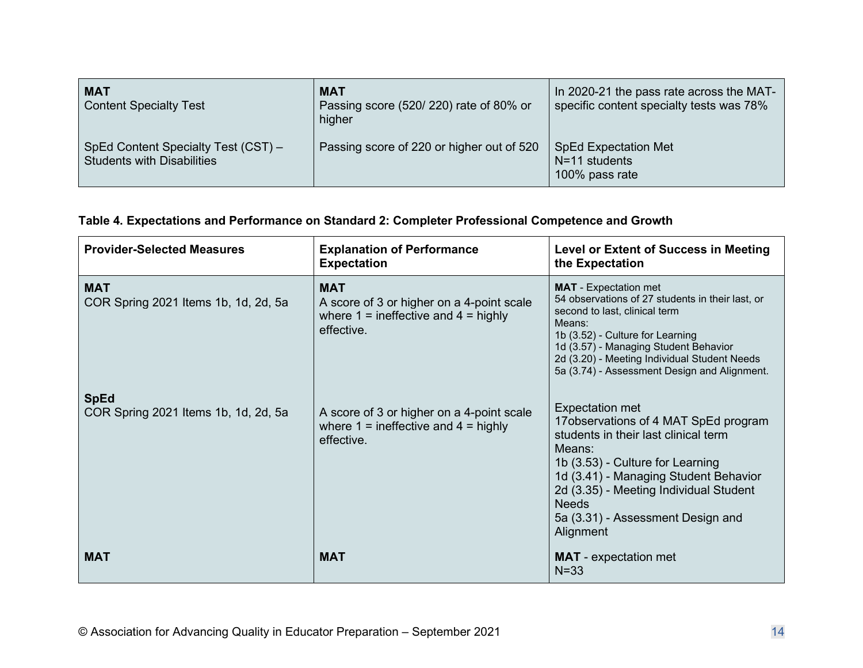| <b>MAT</b><br><b>Content Specialty Test</b>                       | <b>MAT</b><br>Passing score (520/220) rate of 80% or<br>higher | In 2020-21 the pass rate across the MAT-<br>specific content specialty tests was 78% |
|-------------------------------------------------------------------|----------------------------------------------------------------|--------------------------------------------------------------------------------------|
| SpEd Content Specialty Test (CST) -<br>Students with Disabilities | Passing score of 220 or higher out of 520                      | <b>SpEd Expectation Met</b><br>$N=11$ students<br>100% pass rate                     |

**Table 4. Expectations and Performance on Standard 2: Completer Professional Competence and Growth**

| <b>Provider-Selected Measures</b>                   | <b>Explanation of Performance</b><br><b>Expectation</b>                                                           | <b>Level or Extent of Success in Meeting</b><br>the Expectation                                                                                                                                                                                                                                          |
|-----------------------------------------------------|-------------------------------------------------------------------------------------------------------------------|----------------------------------------------------------------------------------------------------------------------------------------------------------------------------------------------------------------------------------------------------------------------------------------------------------|
| <b>MAT</b><br>COR Spring 2021 Items 1b, 1d, 2d, 5a  | <b>MAT</b><br>A score of 3 or higher on a 4-point scale<br>where $1 =$ ineffective and $4 =$ highly<br>effective. | <b>MAT</b> - Expectation met<br>54 observations of 27 students in their last, or<br>second to last, clinical term<br>Means:<br>1b (3.52) - Culture for Learning<br>1d (3.57) - Managing Student Behavior<br>2d (3.20) - Meeting Individual Student Needs<br>5a (3.74) - Assessment Design and Alignment. |
| <b>SpEd</b><br>COR Spring 2021 Items 1b, 1d, 2d, 5a | A score of 3 or higher on a 4-point scale<br>where $1 =$ ineffective and $4 =$ highly<br>effective.               | Expectation met<br>17 observations of 4 MAT SpEd program<br>students in their last clinical term<br>Means:<br>1b (3.53) - Culture for Learning<br>1d (3.41) - Managing Student Behavior<br>2d (3.35) - Meeting Individual Student<br><b>Needs</b><br>5a (3.31) - Assessment Design and<br>Alignment      |
| <b>MAT</b>                                          | <b>MAT</b>                                                                                                        | <b>MAT</b> - expectation met<br>$N = 33$                                                                                                                                                                                                                                                                 |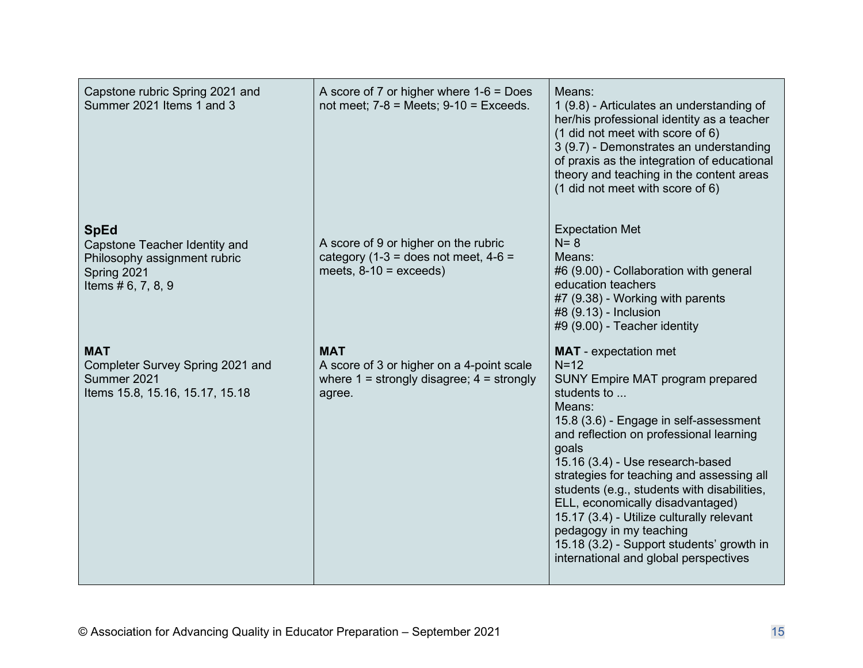| Capstone rubric Spring 2021 and<br>Summer 2021 Items 1 and 3                                                        | A score of 7 or higher where $1-6 = Does$<br>not meet; $7-8$ = Meets; $9-10$ = Exceeds.                            | Means:<br>1 (9.8) - Articulates an understanding of<br>her/his professional identity as a teacher<br>(1 did not meet with score of 6)<br>3 (9.7) - Demonstrates an understanding<br>of praxis as the integration of educational<br>theory and teaching in the content areas<br>(1 did not meet with score of 6)                                                                                                                                                                                                                            |
|---------------------------------------------------------------------------------------------------------------------|--------------------------------------------------------------------------------------------------------------------|--------------------------------------------------------------------------------------------------------------------------------------------------------------------------------------------------------------------------------------------------------------------------------------------------------------------------------------------------------------------------------------------------------------------------------------------------------------------------------------------------------------------------------------------|
| <b>SpEd</b><br>Capstone Teacher Identity and<br>Philosophy assignment rubric<br>Spring 2021<br>Items $# 6, 7, 8, 9$ | A score of 9 or higher on the rubric<br>category (1-3 = does not meet, $4-6 =$<br>meets, $8-10 =$ exceeds)         | <b>Expectation Met</b><br>$N = 8$<br>Means:<br>#6 (9.00) - Collaboration with general<br>education teachers<br>#7 (9.38) - Working with parents<br>#8 (9.13) - Inclusion<br>#9 (9.00) - Teacher identity                                                                                                                                                                                                                                                                                                                                   |
| <b>MAT</b><br>Completer Survey Spring 2021 and<br>Summer 2021<br>Items 15.8, 15.16, 15.17, 15.18                    | <b>MAT</b><br>A score of 3 or higher on a 4-point scale<br>where $1 =$ strongly disagree; $4 =$ strongly<br>agree. | <b>MAT</b> - expectation met<br>$N=12$<br><b>SUNY Empire MAT program prepared</b><br>students to<br>Means:<br>15.8 (3.6) - Engage in self-assessment<br>and reflection on professional learning<br>qoals<br>15.16 (3.4) - Use research-based<br>strategies for teaching and assessing all<br>students (e.g., students with disabilities,<br>ELL, economically disadvantaged)<br>15.17 (3.4) - Utilize culturally relevant<br>pedagogy in my teaching<br>15.18 (3.2) - Support students' growth in<br>international and global perspectives |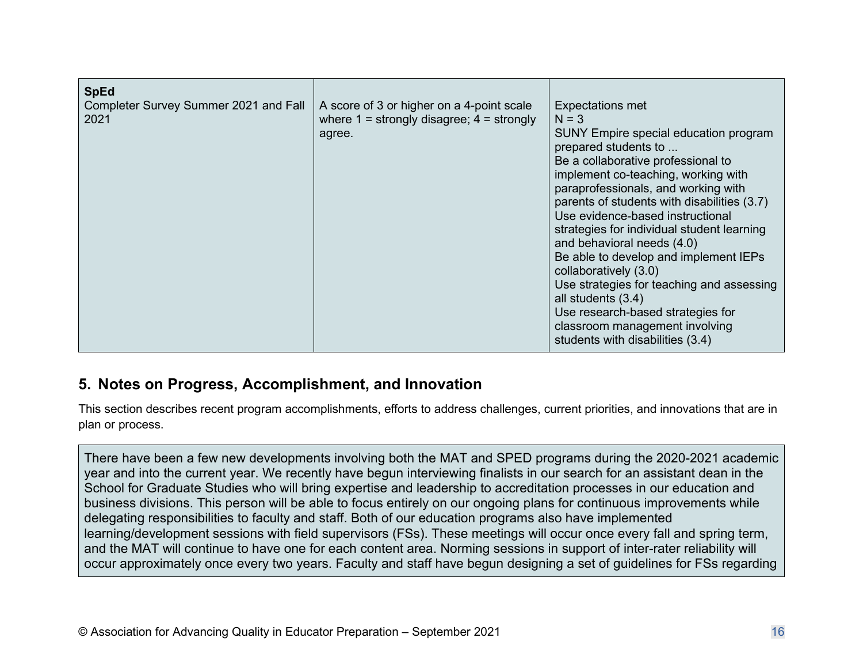| <b>SpEd</b><br>Completer Survey Summer 2021 and Fall<br>2021 | A score of 3 or higher on a 4-point scale<br>where $1 =$ strongly disagree; $4 =$ strongly<br>agree. | <b>Expectations met</b><br>$N = 3$<br>SUNY Empire special education program<br>prepared students to<br>Be a collaborative professional to<br>implement co-teaching, working with<br>paraprofessionals, and working with<br>parents of students with disabilities (3.7)<br>Use evidence-based instructional<br>strategies for individual student learning |
|--------------------------------------------------------------|------------------------------------------------------------------------------------------------------|----------------------------------------------------------------------------------------------------------------------------------------------------------------------------------------------------------------------------------------------------------------------------------------------------------------------------------------------------------|
|                                                              |                                                                                                      | and behavioral needs (4.0)<br>Be able to develop and implement IEPs<br>collaboratively (3.0)<br>Use strategies for teaching and assessing<br>all students (3.4)<br>Use research-based strategies for<br>classroom management involving<br>students with disabilities (3.4)                                                                               |

# **5. Notes on Progress, Accomplishment, and Innovation**

This section describes recent program accomplishments, efforts to address challenges, current priorities, and innovations that are in plan or process.

There have been a few new developments involving both the MAT and SPED programs during the 2020-2021 academic year and into the current year. We recently have begun interviewing finalists in our search for an assistant dean in the School for Graduate Studies who will bring expertise and leadership to accreditation processes in our education and business divisions. This person will be able to focus entirely on our ongoing plans for continuous improvements while delegating responsibilities to faculty and staff. Both of our education programs also have implemented learning/development sessions with field supervisors (FSs). These meetings will occur once every fall and spring term, and the MAT will continue to have one for each content area. Norming sessions in support of inter-rater reliability will occur approximately once every two years. Faculty and staff have begun designing a set of guidelines for FSs regarding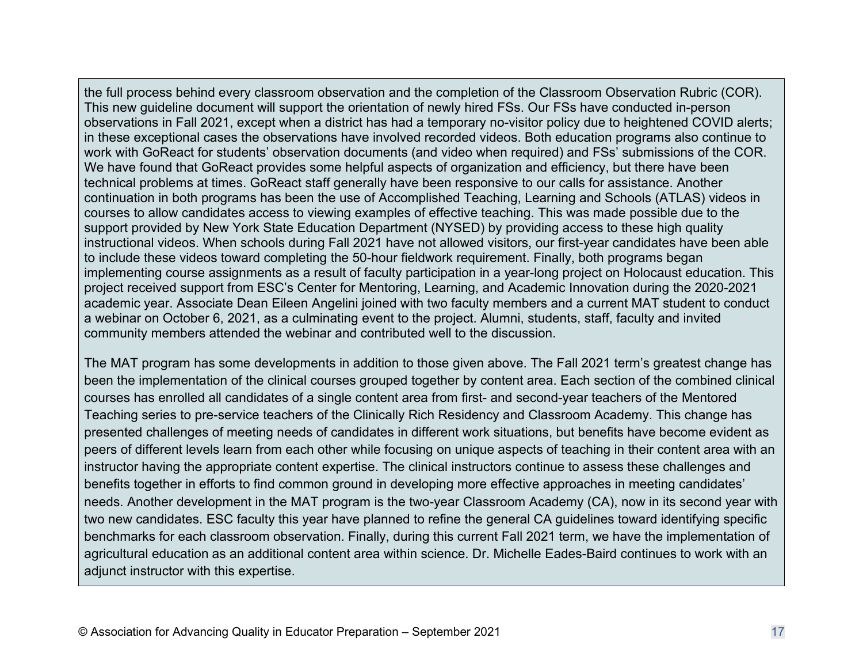the full process behind every classroom observation and the completion of the Classroom Observation Rubric (COR). This new guideline document will support the orientation of newly hired FSs. Our FSs have conducted in-person observations in Fall 2021, except when a district has had a temporary no-visitor policy due to heightened COVID alerts; in these exceptional cases the observations have involved recorded videos. Both education programs also continue to work with GoReact for students' observation documents (and video when required) and FSs' submissions of the COR. We have found that GoReact provides some helpful aspects of organization and efficiency, but there have been technical problems at times. GoReact staff generally have been responsive to our calls for assistance. Another continuation in both programs has been the use of Accomplished Teaching, Learning and Schools (ATLAS) videos in courses to allow candidates access to viewing examples of effective teaching. This was made possible due to the support provided by New York State Education Department (NYSED) by providing access to these high quality instructional videos. When schools during Fall 2021 have not allowed visitors, our first-year candidates have been able to include these videos toward completing the 50-hour fieldwork requirement. Finally, both programs began implementing course assignments as a result of faculty participation in a year-long project on Holocaust education. This project received support from ESC's Center for Mentoring, Learning, and Academic Innovation during the 2020-2021 academic year. Associate Dean Eileen Angelini joined with two faculty members and a current MAT student to conduct a webinar on October 6, 2021, as a culminating event to the project. Alumni, students, staff, faculty and invited community members attended the webinar and contributed well to the discussion.

The MAT program has some developments in addition to those given above. The Fall 2021 term's greatest change has been the implementation of the clinical courses grouped together by content area. Each section of the combined clinical courses has enrolled all candidates of a single content area from first- and second-year teachers of the Mentored Teaching series to pre-service teachers of the Clinically Rich Residency and Classroom Academy. This change has presented challenges of meeting needs of candidates in different work situations, but benefits have become evident as peers of different levels learn from each other while focusing on unique aspects of teaching in their content area with an instructor having the appropriate content expertise. The clinical instructors continue to assess these challenges and benefits together in efforts to find common ground in developing more effective approaches in meeting candidates' needs. Another development in the MAT program is the two-year Classroom Academy (CA), now in its second year with two new candidates. ESC faculty this year have planned to refine the general CA guidelines toward identifying specific benchmarks for each classroom observation. Finally, during this current Fall 2021 term, we have the implementation of agricultural education as an additional content area within science. Dr. Michelle Eades-Baird continues to work with an adjunct instructor with this expertise.